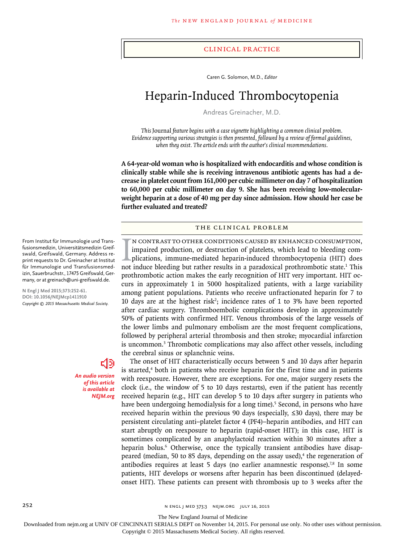#### Clinical Practice

Caren G. Solomon, M.D., *Editor*

# Heparin-Induced Thrombocytopenia

Andreas Greinacher, M.D.

*This* Journal *feature begins with a case vignette highlighting a common clinical problem. Evidence supporting various strategies is then presented, followed by a review of formal guidelines, when they exist. The article ends with the author's clinical recommendations.*

**A 64-year-old woman who is hospitalized with endocarditis and whose condition is clinically stable while she is receiving intravenous antibiotic agents has had a decrease in platelet count from 161,000 per cubic millimeter on day 7 of hospitalization to 60,000 per cubic millimeter on day 9. She has been receiving low-molecularweight heparin at a dose of 40 mg per day since admission. How should her case be further evaluated and treated?**

#### The Clinical Problem

IN CONTRAST TO OTHER CONDITIONS CAUSED BY ENHANCED CONSUMPTION, impaired production, or destruction of platelets, which lead to bleeding complications, immune-mediated heparin-induced thrombocytopenia (HIT) does not induce n contrast to other conditions caused by enhanced consumption, impaired production, or destruction of platelets, which lead to bleeding complications, immune-mediated heparin-induced thrombocytopenia (HIT) does prothrombotic action makes the early recognition of HIT very important. HIT occurs in approximately 1 in 5000 hospitalized patients, with a large variability among patient populations. Patients who receive unfractionated heparin for 7 to 10 days are at the highest risk<sup>2</sup>; incidence rates of 1 to 3% have been reported after cardiac surgery. Thromboembolic complications develop in approximately 50% of patients with confirmed HIT. Venous thrombosis of the large vessels of the lower limbs and pulmonary embolism are the most frequent complications, followed by peripheral arterial thrombosis and then stroke; myocardial infarction is uncommon.<sup>3</sup> Thrombotic complications may also affect other vessels, including the cerebral sinus or splanchnic veins.

The onset of HIT characteristically occurs between 5 and 10 days after heparin is started,<sup>4</sup> both in patients who receive heparin for the first time and in patients with reexposure. However, there are exceptions. For one, major surgery resets the clock (i.e., the window of 5 to 10 days restarts), even if the patient has recently received heparin (e.g., HIT can develop 5 to 10 days after surgery in patients who have been undergoing hemodialysis for a long time).<sup>5</sup> Second, in persons who have received heparin within the previous 90 days (especially, ≤30 days), there may be persistent circulating anti–platelet factor 4 (PF4)–heparin antibodies, and HIT can start abruptly on reexposure to heparin (rapid-onset HIT); in this case, HIT is sometimes complicated by an anaphylactoid reaction within 30 minutes after a heparin bolus.<sup>6</sup> Otherwise, once the typically transient antibodies have disappeared (median, 50 to 85 days, depending on the assay used),<sup>4</sup> the regeneration of antibodies requires at least 5 days (no earlier anamnestic response).<sup>7,8</sup> In some patients, HIT develops or worsens after heparin has been discontinued (delayedonset HIT). These patients can present with thrombosis up to 3 weeks after the

From Institut für Immunologie und Transfusionsmedizin, Universitätsmedizin Greifswald, Greifswald, Germany. Address reprint requests to Dr. Greinacher at Institut für Immunologie und Transfusionsmedizin, Sauerbruchstr., 17475 Greifswald, Germany, or at greinach@uni-greifswald.de.

**N Engl J Med 2015;373:252-61. DOI: 10.1056/NEJMcp1411910** *Copyright © 2015 Massachusetts Medical Society.*

> 데이 *An audio version of this article is available at NEJM.org*

252 **n engl j med 373;3** n engl j med 373;3 nejm.org July 16, 2015

The New England Journal of Medicine

Downloaded from nejm.org at UNIV OF CINCINNATI SERIALS DEPT on November 14, 2015. For personal use only. No other uses without permission.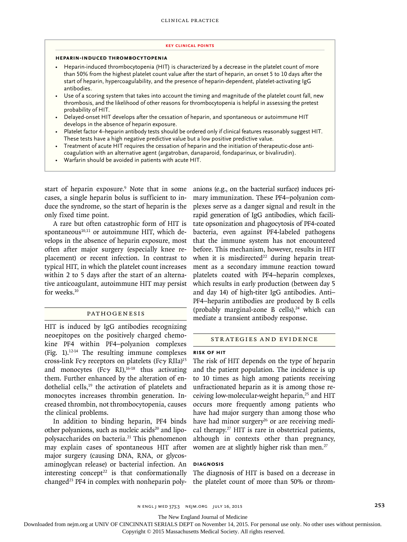#### **Key Clinical Points**

#### **Heparin-Induced Thrombocytopenia**

- Heparin-induced thrombocytopenia (HIT) is characterized by a decrease in the platelet count of more than 50% from the highest platelet count value after the start of heparin, an onset 5 to 10 days after the start of heparin, hypercoagulability, and the presence of heparin-dependent, platelet-activating IgG antibodies.
- Use of a scoring system that takes into account the timing and magnitude of the platelet count fall, new thrombosis, and the likelihood of other reasons for thrombocytopenia is helpful in assessing the pretest probability of HIT.
- Delayed-onset HIT develops after the cessation of heparin, and spontaneous or autoimmune HIT develops in the absence of heparin exposure.
- Platelet factor 4–heparin antibody tests should be ordered only if clinical features reasonably suggest HIT. These tests have a high negative predictive value but a low positive predictive value.
- Treatment of acute HIT requires the cessation of heparin and the initiation of therapeutic-dose anticoagulation with an alternative agent (argatroban, danaparoid, fondaparinux, or bivalirudin).
- Warfarin should be avoided in patients with acute HIT.

start of heparin exposure.<sup>9</sup> Note that in some cases, a single heparin bolus is sufficient to induce the syndrome, so the start of heparin is the only fixed time point.

A rare but often catastrophic form of HIT is spontaneous $10,11$  or autoimmune HIT, which develops in the absence of heparin exposure, most often after major surgery (especially knee replacement) or recent infection. In contrast to typical HIT, in which the platelet count increases within 2 to 5 days after the start of an alternative anticoagulant, autoimmune HIT may persist for weeks.<sup>10</sup>

## Pathogenesis

HIT is induced by IgG antibodies recognizing neoepitopes on the positively charged chemokine PF4 within PF4–polyanion complexes (Fig. 1). $12-14$  The resulting immune complexes cross-link Fcγ receptors on platelets (Fcγ RIIa)15 and monocytes (Fc $\gamma$  RI),<sup>16-18</sup> thus activating them. Further enhanced by the alteration of endothelial cells, $19$  the activation of platelets and monocytes increases thrombin generation. Increased thrombin, not thrombocytopenia, causes the clinical problems.

In addition to binding heparin, PF4 binds other polyanions, such as nucleic acids $20$  and lipopolysaccharides on bacteria.<sup>21</sup> This phenomenon may explain cases of spontaneous HIT after major surgery (causing DNA, RNA, or glycosaminoglycan release) or bacterial infection. An interesting concept<sup>22</sup> is that conformationally changed<sup>23</sup> PF4 in complex with nonheparin polyanions (e.g., on the bacterial surface) induces primary immunization. These PF4–polyanion complexes serve as a danger signal and result in the rapid generation of IgG antibodies, which facilitate opsonization and phagocytosis of PF4-coated bacteria, even against PF4-labeled pathogens that the immune system has not encountered before. This mechanism, however, results in HIT when it is misdirected<sup>22</sup> during heparin treatment as a secondary immune reaction toward platelets coated with PF4–heparin complexes, which results in early production (between day 5 and day 14) of high-titer IgG antibodies. Anti– PF4–heparin antibodies are produced by B cells (probably marginal-zone B cells), $24$  which can mediate a transient antibody response.

## Strategies and Evidence

#### **Risk of HIT**

The risk of HIT depends on the type of heparin and the patient population. The incidence is up to 10 times as high among patients receiving unfractionated heparin as it is among those receiving low-molecular-weight heparin,<sup>25</sup> and HIT occurs more frequently among patients who have had major surgery than among those who have had minor surgery<sup>26</sup> or are receiving medical therapy.27 HIT is rare in obstetrical patients, although in contexts other than pregnancy, women are at slightly higher risk than men.<sup>27</sup>

## **Diagnosis**

The diagnosis of HIT is based on a decrease in the platelet count of more than 50% or throm-

The New England Journal of Medicine

Downloaded from nejm.org at UNIV OF CINCINNATI SERIALS DEPT on November 14, 2015. For personal use only. No other uses without permission.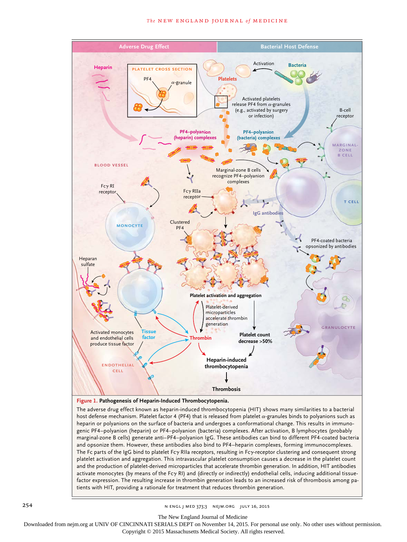#### **The NEW ENGLAND JOURNAL of MEDICINE**



The adverse drug effect known as heparin-induced thrombocytopenia (HIT) shows many similarities to a bacterial host defense mechanism. Platelet factor 4 (PF4) that is released from platelet  $\alpha$ -granules binds to polyanions such as heparin or polyanions on the surface of bacteria and undergoes a conformational change. This results in immunogenic PF4–polyanion (heparin) or PF4–polyanion (bacteria) complexes. After activation, B lymphocytes (probably marginal-zone B cells) generate anti–PF4–polyanion IgG. These antibodies can bind to different PF4-coated bacteria and opsonize them. However, these antibodies also bind to PF4–heparin complexes, forming immunocomplexes. The Fc parts of the IgG bind to platelet Fcγ RIIa receptors, resulting in Fcγreceptor clustering and consequent strong platelet activation and aggregation. This intravascular platelet consumption causes a decrease in the platelet count and the production of platelet-derived microparticles that accelerate thrombin generation. In addition, HIT antibodies activate monocytes (by means of the Fcγ RI) and (directly or indirectly) endothelial cells, inducing additional tissuefactor expression. The resulting increase in thrombin generation leads to an increased risk of thrombosis among patients with HIT, providing a rationale for treatment that reduces thrombin generation.

254 **n engl j med 373;3** n engl j med 373;3 nejm.org July 16, 2015

The New England Journal of Medicine

Downloaded from nejm.org at UNIV OF CINCINNATI SERIALS DEPT on November 14, 2015. For personal use only. No other uses without permission.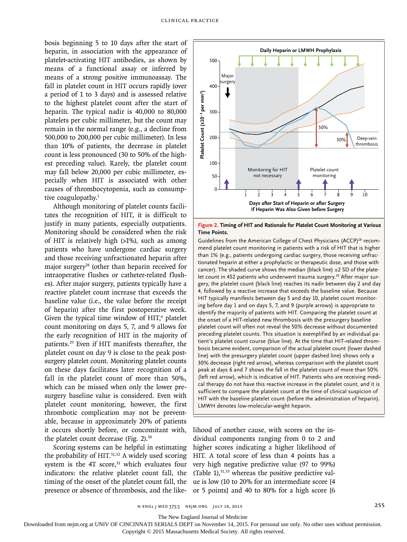bosis beginning 5 to 10 days after the start of heparin, in association with the appearance of platelet-activating HIT antibodies, as shown by means of a functional assay or inferred by means of a strong positive immunoassay. The fall in platelet count in HIT occurs rapidly (over a period of 1 to 3 days) and is assessed relative to the highest platelet count after the start of heparin. The typical nadir is 40,000 to 80,000 platelets per cubic millimeter, but the count may remain in the normal range (e.g., a decline from 500,000 to 200,000 per cubic millimeter). In less than 10% of patients, the decrease in platelet count is less pronounced (30 to 50% of the highest preceding value). Rarely, the platelet count may fall below 20,000 per cubic millimeter, especially when HIT is associated with other causes of thrombocytopenia, such as consumptive coagulopathy.<sup>1</sup>

Although monitoring of platelet counts facilitates the recognition of HIT, it is difficult to justify in many patients, especially outpatients. Monitoring should be considered when the risk of HIT is relatively high (>1%), such as among patients who have undergone cardiac surgery and those receiving unfractionated heparin after major surgery<sup>28</sup> (other than heparin received for intraoperative flushes or catheter-related flushes). After major surgery, patients typically have a reactive platelet count increase that exceeds the baseline value (i.e., the value before the receipt of heparin) after the first postoperative week. Given the typical time window of  $HIT<sub>1</sub><sup>4</sup>$  platelet count monitoring on days 5, 7, and 9 allows for the early recognition of HIT in the majority of patients.29 Even if HIT manifests thereafter, the platelet count on day 9 is close to the peak postsurgery platelet count. Monitoring platelet counts on these days facilitates later recognition of a fall in the platelet count of more than 50%, which can be missed when only the lower presurgery baseline value is considered. Even with platelet count monitoring, however, the first thrombotic complication may not be preventable, because in approximately 20% of patients it occurs shortly before, or concomitant with, the platelet count decrease (Fig. 2).30

Scoring systems can be helpful in estimating the probability of HIT.<sup>31,32</sup> A widely used scoring system is the 4T score, $31$  which evaluates four indicators: the relative platelet count fall, the timing of the onset of the platelet count fall, the presence or absence of thrombosis, and the like-



**Figure 2. Timing of HIT and Rationale for Platelet Count Monitoring at Various Time Points.**

Guidelines from the American College of Chest Physicians (ACCP)<sup>28</sup> recommend platelet count monitoring in patients with a risk of HIT that is higher than 1% (e.g., patients undergoing cardiac surgery, those receiving unfractionated heparin at either a prophylactic or therapeutic dose, and those with cancer). The shaded curve shows the median (black line)  $\pm 2$  SD of the platelet count in 452 patients who underwent trauma surgery.<sup>26</sup> After major surgery, the platelet count (black line) reaches its nadir between day 2 and day 4, followed by a reactive increase that exceeds the baseline value. Because HIT typically manifests between day 5 and day 10, platelet count monitoring before day 1 and on days 5, 7, and 9 (purple arrows) is appropriate to identify the majority of patients with HIT. Comparing the platelet count at the onset of a HIT-related new thrombosis with the presurgery baseline platelet count will often not reveal the 50% decrease without documented preceding platelet counts. This situation is exemplified by an individual patient's platelet count course (blue line). At the time that HIT-related thrombosis became evident, comparison of the actual platelet count (lower dashed line) with the presurgery platelet count (upper dashed line) shows only a 30% decrease (right red arrow), whereas comparison with the platelet count peak at days 6 and 7 shows the fall in the platelet count of more than 50% (left red arrow), which is indicative of HIT. Patients who are receiving medical therapy do not have this reactive increase in the platelet count, and it is sufficient to compare the platelet count at the time of clinical suspicion of HIT with the baseline platelet count (before the administration of heparin). Letter Counter the Meridian States and the product of the particle in the particle of the particle in the particle in the particle in the state of Heparin in the Points.<br>
The Points. Cuidelines from the American College of

lihood of another cause, with scores on the individual components ranging from 0 to 2 and higher scores indicating a higher likelihood of HIT. A total score of less than 4 points has a very high negative predictive value (97 to 99%) (Table 1), $31,33$  whereas the positive predictive value is low (10 to 20% for an intermediate score [4 or 5 points] and 40 to 80% for a high score [6

n engl j med 373;3 nejm.org July 16, 2015 255

The New England Journal of Medicine

Downloaded from nejm.org at UNIV OF CINCINNATI SERIALS DEPT on November 14, 2015. For personal use only. No other uses without permission.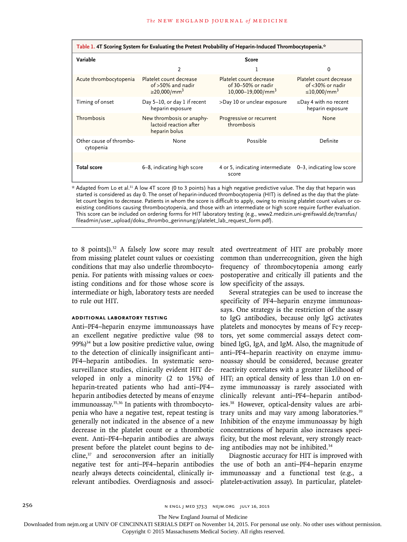| *.Table 1.4T Scoring System for Evaluating the Pretest Probability of Heparin-Induced Thrombocytopenia                              |                                                                         |                                                                         |                                                                        |
|-------------------------------------------------------------------------------------------------------------------------------------|-------------------------------------------------------------------------|-------------------------------------------------------------------------|------------------------------------------------------------------------|
| Variable                                                                                                                            | <b>Score</b>                                                            |                                                                         |                                                                        |
|                                                                                                                                     | 2                                                                       |                                                                         | 0                                                                      |
| Acute thrombocytopenia                                                                                                              | Platelet count decrease<br>of >50% and nadir<br>≥20,000/mm <sup>3</sup> | Platelet count decrease<br>of 30-50% or nadir<br>$10,000 - 19,000/mm^3$ | Platelet count decrease<br>of <30% or nadir<br>≤10,000/mm <sup>3</sup> |
| Timing of onset                                                                                                                     | Day 5-10, or day 1 if recent<br>heparin exposure                        | >Day 10 or unclear exposure                                             | $\leq$ Day 4 with no recent<br>heparin exposure                        |
| Thrombosis                                                                                                                          | New thrombosis or anaphy-<br>lactoid reaction after<br>heparin bolus    | Progressive or recurrent<br>thrombosis                                  | None                                                                   |
| Other cause of thrombo-<br>cytopenia                                                                                                | None                                                                    | Possible                                                                | Definite                                                               |
|                                                                                                                                     |                                                                         |                                                                         |                                                                        |
| <b>Total score</b>                                                                                                                  | 6-8, indicating high score                                              | 4 or 5, indicating intermediate<br>score                                | 0–3, indicating low score                                              |
| * Adapted from Lo et al <sup>31</sup> A low 4T score (0 to 3 points) has a high negative predictive value. The day that henarin was |                                                                         |                                                                         |                                                                        |

\* Adapted from Lo et al.31 A low 4T score (0 to 3 points) has a high negative predictive value. The day that heparin was started is considered as day 0. The onset of heparin-induced thrombocytopenia (HIT) is defined as the day that the platelet count begins to decrease. Patients in whom the score is difficult to apply, owing to missing platelet count values or coexisting conditions causing thrombocytopenia, and those with an intermediate or high score require further evaluation. This score can be included on ordering forms for HIT laboratory testing (e.g., www2.medizin.uni-greifswald.de/transfus/ fileadmin/user\_upload/doku\_thrombo\_gerinnung/platelet\_lab\_request\_form.pdf).

to 8 points]). $32$  A falsely low score may result from missing platelet count values or coexisting conditions that may also underlie thrombocytopenia. For patients with missing values or coexisting conditions and for those whose score is intermediate or high, laboratory tests are needed to rule out HIT.

## **Additional Laboratory Testing**

Anti–PF4–heparin enzyme immunoassays have an excellent negative predictive value (98 to  $99\%$ <sup>34</sup> but a low positive predictive value, owing to the detection of clinically insignificant anti– PF4–heparin antibodies. In systematic serosurveillance studies, clinically evident HIT developed in only a minority (2 to 15%) of heparin-treated patients who had anti–PF4– heparin antibodies detected by means of enzyme immunoassay.35,36 In patients with thrombocytopenia who have a negative test, repeat testing is generally not indicated in the absence of a new decrease in the platelet count or a thrombotic event. Anti–PF4–heparin antibodies are always present before the platelet count begins to decline,37 and seroconversion after an initially negative test for anti–PF4–heparin antibodies nearly always detects coincidental, clinically irrelevant antibodies. Overdiagnosis and associated overtreatment of HIT are probably more common than underrecognition, given the high frequency of thrombocytopenia among early postoperative and critically ill patients and the low specificity of the assays.

Several strategies can be used to increase the specificity of PF4–heparin enzyme immunoassays. One strategy is the restriction of the assay to IgG antibodies, because only IgG activates platelets and monocytes by means of Fcγ receptors, yet some commercial assays detect combined IgG, IgA, and IgM. Also, the magnitude of anti–PF4–heparin reactivity on enzyme immunoassay should be considered, because greater reactivity correlates with a greater likelihood of HIT; an optical density of less than 1.0 on enzyme immunoassay is rarely associated with clinically relevant anti–PF4–heparin antibodies.38 However, optical-density values are arbitrary units and may vary among laboratories.<sup>39</sup> Inhibition of the enzyme immunoassay by high concentrations of heparin also increases specificity, but the most relevant, very strongly reacting antibodies may not be inhibited.34

Diagnostic accuracy for HIT is improved with the use of both an anti–PF4–heparin enzyme immunoassay and a functional test (e.g., a platelet-activation assay). In particular, platelet-

The New England Journal of Medicine

Downloaded from nejm.org at UNIV OF CINCINNATI SERIALS DEPT on November 14, 2015. For personal use only. No other uses without permission.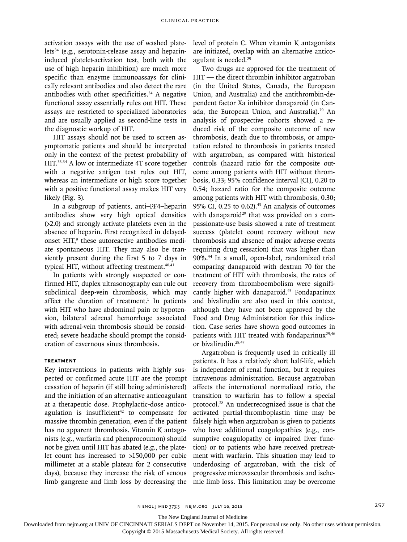activation assays with the use of washed platelets<sup>34</sup> (e.g., serotonin-release assay and heparininduced platelet-activation test, both with the use of high heparin inhibition) are much more specific than enzyme immunoassays for clinically relevant antibodies and also detect the rare antibodies with other specificities.<sup>34</sup> A negative functional assay essentially rules out HIT. These assays are restricted to specialized laboratories and are usually applied as second-line tests in the diagnostic workup of HIT.

HIT assays should not be used to screen asymptomatic patients and should be interpreted only in the context of the pretest probability of HIT.33,34 A low or intermediate 4T score together with a negative antigen test rules out HIT, whereas an intermediate or high score together with a positive functional assay makes HIT very likely (Fig. 3).

In a subgroup of patients, anti–PF4–heparin antibodies show very high optical densities (>2.0) and strongly activate platelets even in the absence of heparin. First recognized in delayedonset HIT,<sup>9</sup> these autoreactive antibodies mediate spontaneous HIT. They may also be transiently present during the first 5 to 7 days in typical HIT, without affecting treatment.<sup>40,41</sup>

In patients with strongly suspected or confirmed HIT, duplex ultrasonography can rule out subclinical deep-vein thrombosis, which may affect the duration of treatment.<sup>1</sup> In patients with HIT who have abdominal pain or hypotension, bilateral adrenal hemorrhage associated with adrenal-vein thrombosis should be considered; severe headache should prompt the consideration of cavernous sinus thrombosis.

## **Treatment**

Key interventions in patients with highly suspected or confirmed acute HIT are the prompt cessation of heparin (if still being administered) and the initiation of an alternative anticoagulant at a therapeutic dose. Prophylactic-dose anticoagulation is insufficient<sup>42</sup> to compensate for massive thrombin generation, even if the patient has no apparent thrombosis. Vitamin K antagonists (e.g., warfarin and phenprocoumon) should not be given until HIT has abated (e.g., the platelet count has increased to >150,000 per cubic millimeter at a stable plateau for 2 consecutive days), because they increase the risk of venous limb gangrene and limb loss by decreasing the level of protein C. When vitamin K antagonists are initiated, overlap with an alternative anticoagulant is needed.<sup>29</sup>

Two drugs are approved for the treatment of HIT — the direct thrombin inhibitor argatroban (in the United States, Canada, the European Union, and Australia) and the antithrombin-dependent factor Xa inhibitor danaparoid (in Canada, the European Union, and Australia).<sup>29</sup> An analysis of prospective cohorts showed a reduced risk of the composite outcome of new thrombosis, death due to thrombosis, or amputation related to thrombosis in patients treated with argatroban, as compared with historical controls (hazard ratio for the composite outcome among patients with HIT without thrombosis, 0.33; 95% confidence interval [CI], 0.20 to 0.54; hazard ratio for the composite outcome among patients with HIT with thrombosis, 0.30; 95% CI, 0.25 to 0.62). $43$  An analysis of outcomes with danaparoid<sup>29</sup> that was provided on a compassionate-use basis showed a rate of treatment success (platelet count recovery without new thrombosis and absence of major adverse events requiring drug cessation) that was higher than 90%.44 In a small, open-label, randomized trial comparing danaparoid with dextran 70 for the treatment of HIT with thrombosis, the rates of recovery from thromboembolism were significantly higher with danaparoid.<sup>45</sup> Fondaparinux and bivalirudin are also used in this context, although they have not been approved by the Food and Drug Administration for this indication. Case series have shown good outcomes in patients with HIT treated with fondaparinux<sup>29,46</sup> or bivalirudin.28,47

Argatroban is frequently used in critically ill patients. It has a relatively short half-life, which is independent of renal function, but it requires intravenous administration. Because argatroban affects the international normalized ratio, the transition to warfarin has to follow a special protocol.28 An underrecognized issue is that the activated partial-thromboplastin time may be falsely high when argatroban is given to patients who have additional coagulopathies (e.g., consumptive coagulopathy or impaired liver function) or to patients who have received pretreatment with warfarin. This situation may lead to underdosing of argatroban, with the risk of progressive microvascular thrombosis and ischemic limb loss. This limitation may be overcome

n engl j med 373;3 nejm.org July 16, 2015 257

The New England Journal of Medicine

Downloaded from nejm.org at UNIV OF CINCINNATI SERIALS DEPT on November 14, 2015. For personal use only. No other uses without permission.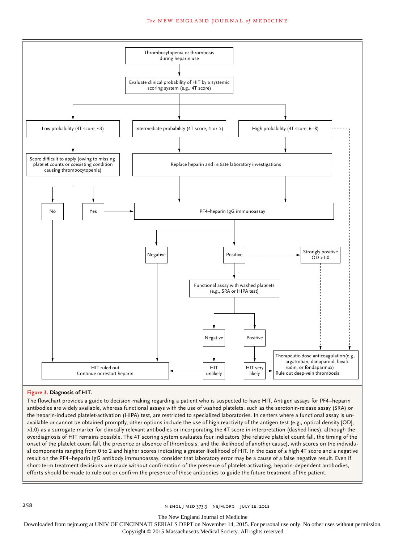#### **The NEW ENGLAND JOURNAL of MEDICINE**



## **Figure 3. Diagnosis of HIT.**

The flowchart provides a guide to decision making regarding a patient who is suspected to have HIT. Antigen assays for PF4–heparin antibodies are widely available, whereas functional assays with the use of washed platelets, such as the serotonin-release assay (SRA) or the heparin-induced platelet-activation (HIPA) test, are restricted to specialized laboratories. In centers where a functional assay is unavailable or cannot be obtained promptly, other options include the use of high reactivity of the antigen test (e.g., optical density [OD], >1.0) as a surrogate marker for clinically relevant antibodies or incorporating the 4T score in interpretation (dashed lines), although the overdiagnosis of HIT remains possible. The 4T scoring system evaluates four indicators (the relative platelet count fall, the timing of the onset of the platelet count fall, the presence or absence of thrombosis, and the likelihood of another cause), with scores on the individual components ranging from 0 to 2 and higher scores indicating a greater likelihood of HIT. In the case of a high 4T score and a negative result on the PF4–heparin IgG antibody immunoassay, consider that laboratory error may be a cause of a false negative result. Even if short-term treatment decisions are made without confirmation of the presence of platelet-activating, heparin-dependent antibodies, efforts should be made to rule out or confirm the presence of these antibodies to guide the future treatment of the patient.

258 **1.2.258** n engl j med 373;3 nejm.org July 16, 2015

The New England Journal of Medicine

Downloaded from nejm.org at UNIV OF CINCINNATI SERIALS DEPT on November 14, 2015. For personal use only. No other uses without permission.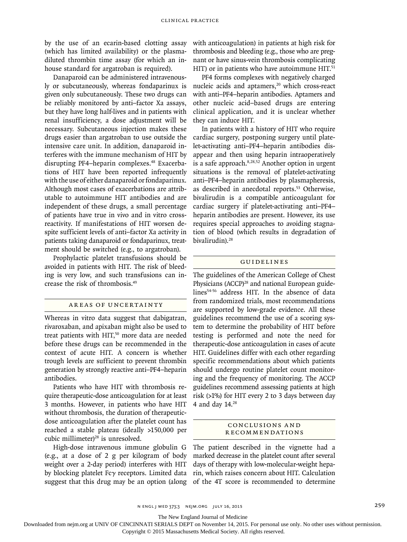by the use of an ecarin-based clotting assay (which has limited availability) or the plasmadiluted thrombin time assay (for which an inhouse standard for argatroban is required).

Danaparoid can be administered intravenously or subcutaneously, whereas fondaparinux is given only subcutaneously. These two drugs can be reliably monitored by anti–factor Xa assays, but they have long half-lives and in patients with renal insufficiency, a dose adjustment will be necessary. Subcutaneous injection makes these drugs easier than argatroban to use outside the intensive care unit. In addition, danaparoid interferes with the immune mechanism of HIT by disrupting PF4–heparin complexes.48 Exacerbations of HIT have been reported infrequently with the use of either danaparoid or fondaparinux. Although most cases of exacerbations are attributable to autoimmune HIT antibodies and are independent of these drugs, a small percentage of patients have true in vivo and in vitro crossreactivity. If manifestations of HIT worsen despite sufficient levels of anti–factor Xa activity in patients taking danaparoid or fondaparinux, treatment should be switched (e.g., to argatroban).

Prophylactic platelet transfusions should be avoided in patients with HIT. The risk of bleeding is very low, and such transfusions can increase the risk of thrombosis.49

## Areas of Uncertainty

Whereas in vitro data suggest that dabigatran, rivaroxaban, and apixaban might also be used to treat patients with HIT,<sup>50</sup> more data are needed before these drugs can be recommended in the context of acute HIT. A concern is whether trough levels are sufficient to prevent thrombin generation by strongly reactive anti–PF4–heparin antibodies.

Patients who have HIT with thrombosis require therapeutic-dose anticoagulation for at least 3 months. However, in patients who have HIT without thrombosis, the duration of therapeuticdose anticoagulation after the platelet count has reached a stable plateau (ideally >150,000 per cubic millimeter)<sup>28</sup> is unresolved.

High-dose intravenous immune globulin G (e.g., at a dose of 2 g per kilogram of body weight over a 2-day period) interferes with HIT by blocking platelet Fcγ receptors. Limited data suggest that this drug may be an option (along with anticoagulation) in patients at high risk for thrombosis and bleeding (e.g., those who are pregnant or have sinus-vein thrombosis complicating HIT) or in patients who have autoimmune HIT.<sup>51</sup>

PF4 forms complexes with negatively charged nucleic acids and aptamers,<sup>20</sup> which cross-react with anti–PF4–heparin antibodies. Aptamers and other nucleic acid–based drugs are entering clinical application, and it is unclear whether they can induce HIT.

In patients with a history of HIT who require cardiac surgery, postponing surgery until platelet-activating anti–PF4–heparin antibodies disappear and then using heparin intraoperatively is a safe approach.8,28,52 Another option in urgent situations is the removal of platelet-activating anti–PF4–heparin antibodies by plasmapheresis, as described in anecdotal reports.53 Otherwise, bivalirudin is a compatible anticoagulant for cardiac surgery if platelet-activating anti–PF4– heparin antibodies are present. However, its use requires special approaches to avoiding stagnation of blood (which results in degradation of bivalirudin).<sup>28</sup>

## Guidelines

The guidelines of the American College of Chest Physicians (ACCP)<sup>28</sup> and national European guidelines54-56 address HIT. In the absence of data from randomized trials, most recommendations are supported by low-grade evidence. All these guidelines recommend the use of a scoring system to determine the probability of HIT before testing is performed and note the need for therapeutic-dose anticoagulation in cases of acute HIT. Guidelines differ with each other regarding specific recommendations about which patients should undergo routine platelet count monitoring and the frequency of monitoring. The ACCP guidelines recommend assessing patients at high risk (>1%) for HIT every 2 to 3 days between day 4 and day 14.28

## Conclusions a nd Recommendations

The patient described in the vignette had a marked decrease in the platelet count after several days of therapy with low-molecular-weight heparin, which raises concern about HIT. Calculation of the 4T score is recommended to determine

The New England Journal of Medicine

Downloaded from nejm.org at UNIV OF CINCINNATI SERIALS DEPT on November 14, 2015. For personal use only. No other uses without permission.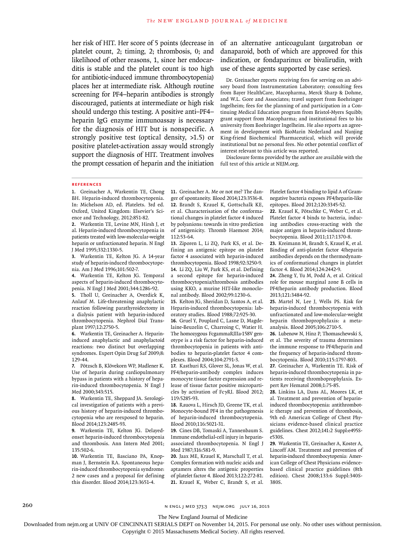her risk of HIT. Her score of 5 points (decrease in platelet count, 2; timing, 2; thrombosis, 0; and likelihood of other reasons, 1, since her endocarditis is stable and the platelet count is too high for antibiotic-induced immune thrombocytopenia) places her at intermediate risk. Although routine screening for PF4–heparin antibodies is strongly discouraged, patients at intermediate or high risk should undergo this testing. A positive anti–PF4– heparin IgG enzyme immunoassay is necessary for the diagnosis of HIT but is nonspecific. A strongly positive test (optical density, >1.5) or positive platelet-activation assay would strongly support the diagnosis of HIT. Treatment involves the prompt cessation of heparin and the initiation

of an alternative anticoagulant (argatroban or danaparoid, both of which are approved for this indication, or fondaparinux or bivalirudin, with use of these agents supported by case series).

Dr. Greinacher reports receiving fees for serving on an advisory board from Instrumentation Laboratory; consulting fees from Bayer HealthCare, Macopharma, Merck Sharp & Dohme, and W.L. Gore and Associates; travel support from Boehringer Ingelheim; fees for the planning of and participation in a Continuing Medical Education program from Bristol-Myers Squibb; grant support from Macopharma; and institutional fees to his university from Boehringer Ingelheim. He also reports an agreement in development with BioMarin Nederland and Nanjing King-friend Biochemical Pharmaceutical, which will provide institutional but no personal fees. No other potential conflict of interest relevant to this article was reported.

Disclosure forms provided by the author are available with the full text of this article at NEJM.org.

#### **References**

**1.** Greinacher A, Warkentin TE, Chong BH. Heparin-induced thrombocytopenia. In: Michelson AD, ed. Platelets. 3rd ed. Oxford, United Kingdom: Elsevier's Science and Technology, 2012:851-82.

**2.** Warkentin TE, Levine MN, Hirsh J, et al. Heparin-induced thrombocytopenia in patients treated with low-molecular-weight heparin or unfractionated heparin. N Engl J Med 1995;332:1330-5.

**3.** Warkentin TE, Kelton JG. A 14-year study of heparin-induced thrombocytopenia. Am J Med 1996;101:502-7.

**4.** Warkentin TE, Kelton JG. Temporal aspects of heparin-induced thrombocytopenia. N Engl J Med 2001;344:1286-92.

**5.** Tholl U, Greinacher A, Overdick K, Anlauf M. Life-threatening anaphylactic reaction following parathyroidectomy in a dialysis patient with heparin-induced thrombocytopenia. Nephrol Dial Transplant 1997;12:2750-5.

**6.** Warkentin TE, Greinacher A. Heparininduced anaphylactic and anaphylactoid reactions: two distinct but overlapping syndromes. Expert Opin Drug Saf 2009;8: 129-44.

**7.** Pötzsch B, Klövekorn WP, Madlener K. Use of heparin during cardiopulmonary bypass in patients with a history of heparin-induced thrombocytopenia. N Engl J Med 2000;343:515.

**8.** Warkentin TE, Sheppard JA. Serological investigation of patients with a previous history of heparin-induced thrombocytopenia who are reexposed to heparin. Blood 2014;123:2485-93.

**9.** Warkentin TE, Kelton JG. Delayedonset heparin-induced thrombocytopenia and thrombosis. Ann Intern Med 2001; 135:502-6.

**10.** Warkentin TE, Basciano PA, Knopman J, Bernstein RA. Spontaneous heparin-induced thrombocytopenia syndrome: 2 new cases and a proposal for defining this disorder. Blood 2014;123:3651-4.

**11.** Greinacher A. Me or not me? The danger of spontaneity. Blood 2014;123:3536-8. **12.** Brandt S, Krauel K, Gottschalk KE, et al. Characterisation of the conformational changes in platelet factor 4 induced by polyanions: towards in vitro prediction of antigenicity. Thromb Haemost 2014; 112:53-64.

**13.** Ziporen L, Li ZQ, Park KS, et al. Defining an antigenic epitope on platelet factor 4 associated with heparin-induced thrombocytopenia. Blood 1998;92:3250-9. **14.** Li ZQ, Liu W, Park KS, et al. Defining a second epitope for heparin-induced thrombocytopenia/thrombosis antibodies using KKO, a murine HIT-like monoclonal antibody. Blood 2002;99:1230-6.

**15.** Kelton JG, Sheridan D, Santos A, et al. Heparin-induced thrombocytopenia: laboratory studies. Blood 1988;72:925-30.

**16.** Gruel Y, Pouplard C, Lasne D, Magdelaine-Beuzelin C, Charroing C, Watier H. The homozygous FcgammaRIIIa-158V genotype is a risk factor for heparin-induced thrombocytopenia in patients with antibodies to heparin-platelet factor 4 complexes. Blood 2004;104:2791-3.

**17.** Kasthuri RS, Glover SL, Jonas W, et al. PF4/heparin-antibody complex induces monocyte tissue factor expression and release of tissue factor positive microparticles by activation of FcγRI. Blood 2012; 119:5285-93.

**18.** Rauova L, Hirsch JD, Greene TK, et al. Monocyte-bound PF4 in the pathogenesis of heparin-induced thrombocytopenia. Blood 2010;116:5021-31.

**19.** Cines DB, Tomaski A, Tannenbaum S. Immune endothelial-cell injury in heparinassociated thrombocytopenia. N Engl J Med 1987;316:581-9.

**20.** Jaax ME, Krauel K, Marschall T, et al. Complex formation with nucleic acids and aptamers alters the antigenic properties of platelet factor 4. Blood 2013;122:272-81. **21.** Krauel K, Weber C, Brandt S, et al.

Platelet factor 4 binding to lipid A of Gramnegative bacteria exposes PF4/heparin-like epitopes. Blood 2012;120:3345-52.

**22.** Krauel K, Pötschke C, Weber C, et al. Platelet factor 4 binds to bacteria, inducing antibodies cross-reacting with the major antigen in heparin-induced thrombocytopenia. Blood 2011;117:1370-8.

**23.** Kreimann M, Brandt S, Krauel K, et al. Binding of anti-platelet factor 4/heparin antibodies depends on the thermodynamics of conformational changes in platelet factor 4. Blood 2014;124:2442-9.

**24.** Zheng Y, Yu M, Podd A, et al. Critical role for mouse marginal zone B cells in PF4/heparin antibody production. Blood 2013;121:3484-92.

**25.** Martel N, Lee J, Wells PS. Risk for heparin-induced thrombocytopenia with unfractionated and low-molecular-weight heparin thromboprophylaxis: a metaanalysis. Blood 2005;106:2710-5.

**26.** Lubenow N, Hinz P, Thomaschewski S, et al. The severity of trauma determines the immune response to PF4/heparin and the frequency of heparin-induced thrombocytopenia. Blood 2010;115:1797-803.

**27.** Greinacher A, Warkentin TE. Risk of heparin-induced thrombocytopenia in patients receiving thromboprophylaxis. Expert Rev Hematol 2008;1:75-85.

**28.** Linkins LA, Dans AL, Moores LK, et al. Treatment and prevention of heparininduced thrombocytopenia: antithrombotic therapy and prevention of thrombosis, 9th ed: American College of Chest Physicians evidence-based clinical practice guidelines. Chest 2012;141:2 Suppl:e495Se530S.

**29.** Warkentin TE, Greinacher A, Koster A, Lincoff AM. Treatment and prevention of heparin-induced thrombocytopenia: American College of Chest Physicians evidencebased clinical practice guidelines (8th edition). Chest 2008;133:6 Suppl:340S-380S.

260 **n ENGL J MED 373;3** NEJM.ORG JULY 16, 2015

The New England Journal of Medicine

Downloaded from nejm.org at UNIV OF CINCINNATI SERIALS DEPT on November 14, 2015. For personal use only. No other uses without permission.